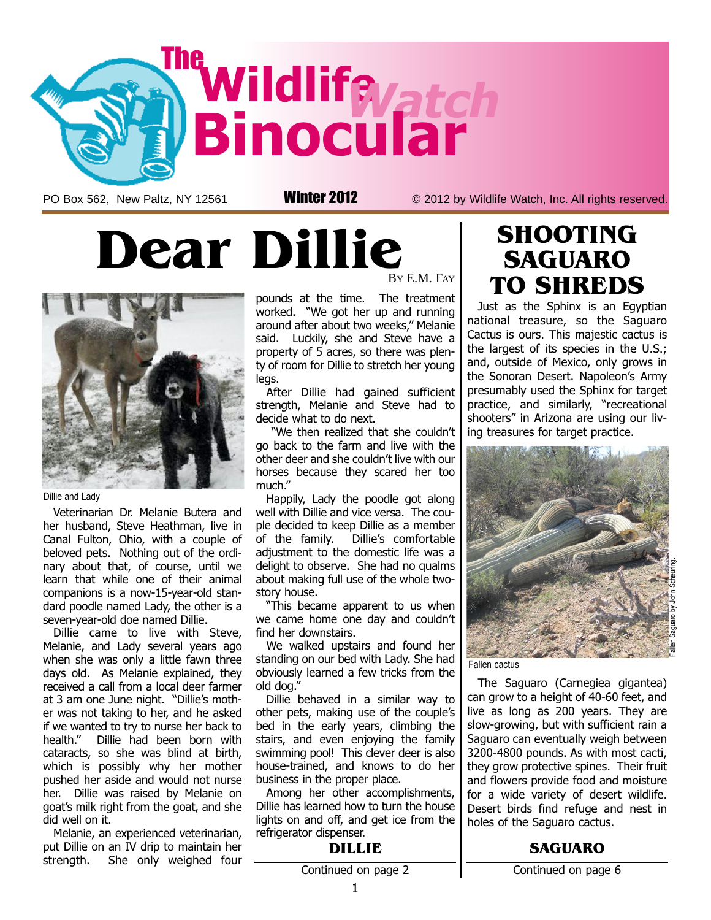

PO Box 562, New Paltz, NY 12561 **Winter 2012** © 2012 by Wildlife Watch, Inc. All rights reserved.

# Dear Dillie



Dillie and Lady

Veterinarian Dr. Melanie Butera and her husband, Steve Heathman, live in Canal Fulton, Ohio, with a couple of beloved pets. Nothing out of the ordinary about that, of course, until we learn that while one of their animal companions is a now-15-year-old standard poodle named Lady, the other is a seven-year-old doe named Dillie.

Dillie came to live with Steve, Melanie, and Lady several years ago when she was only a little fawn three days old. As Melanie explained, they received a call from a local deer farmer at 3 am one June night. "Dillie's mother was not taking to her, and he asked if we wanted to try to nurse her back to health." Dillie had been born with cataracts, so she was blind at birth, which is possibly why her mother pushed her aside and would not nurse her. Dillie was raised by Melanie on goat's milk right from the goat, and she did well on it.

Melanie, an experienced veterinarian, put Dillie on an IV drip to maintain her strength. She only weighed four BY E.M. FAY

pounds at the time. The treatment worked. "We got her up and running around after about two weeks," Melanie said. Luckily, she and Steve have a property of 5 acres, so there was plenty of room for Dillie to stretch her young legs.

After Dillie had gained sufficient strength, Melanie and Steve had to decide what to do next.

"We then realized that she couldn't go back to the farm and live with the other deer and she couldn't live with our horses because they scared her too much."

Happily, Lady the poodle got along well with Dillie and vice versa. The couple decided to keep Dillie as a member of the family. Dillie's comfortable adjustment to the domestic life was a delight to observe. She had no qualms about making full use of the whole twostory house.

"This became apparent to us when we came home one day and couldn't find her downstairs.

We walked upstairs and found her standing on our bed with Lady. She had obviously learned a few tricks from the old dog."

Dillie behaved in a similar way to other pets, making use of the couple's bed in the early years, climbing the stairs, and even enjoying the family swimming pool! This clever deer is also house-trained, and knows to do her business in the proper place.

Among her other accomplishments, Dillie has learned how to turn the house lights on and off, and get ice from the refrigerator dispenser.

# SHOOTING SAGUARO TO SHREDS

Just as the Sphinx is an Egyptian national treasure, so the Saguaro Cactus is ours. This majestic cactus is the largest of its species in the U.S.; and, outside of Mexico, only grows in the Sonoran Desert. Napoleon's Army presumably used the Sphinx for target practice, and similarly, "recreational shooters" in Arizona are using our living treasures for target practice.



Fallen cactus

The Saguaro (Carnegiea gigantea) can grow to a height of 40-60 feet, and live as long as 200 years. They are slow-growing, but with sufficient rain a Saguaro can eventually weigh between 3200-4800 pounds. As with most cacti, they grow protective spines. Their fruit and flowers provide food and moisture for a wide variety of desert wildlife. Desert birds find refuge and nest in holes of the Saguaro cactus.

### SAGUARO

DILLIE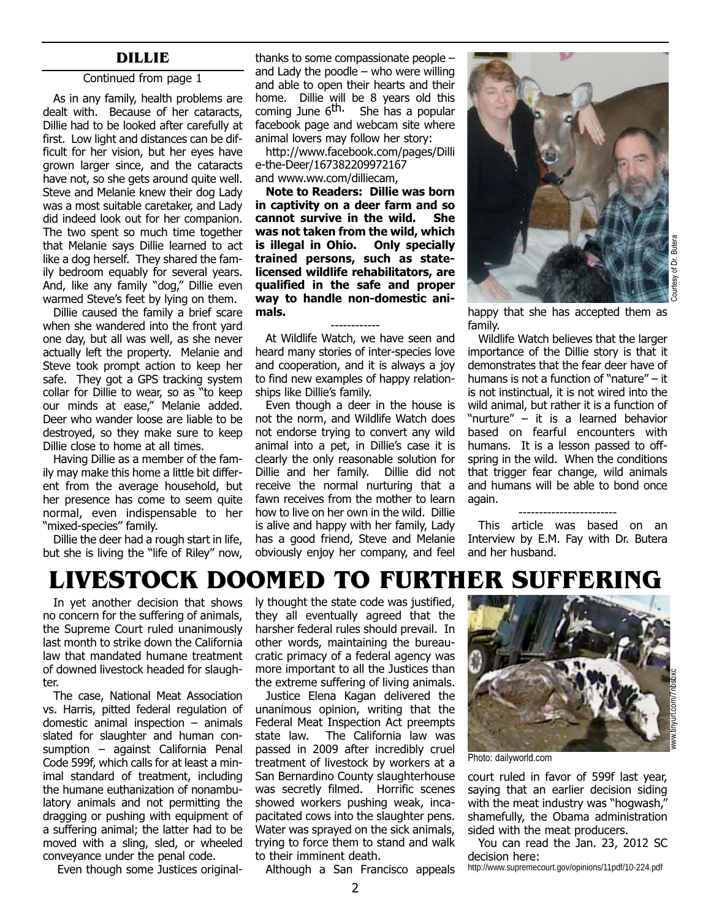#### Continued from page 1

As in any family, health problems are dealt with. Because of her cataracts, Dillie had to be looked after carefully at first. Low light and distances can be difficult for her vision, but her eyes have grown larger since, and the cataracts have not, so she gets around quite well. Steve and Melanie knew their dog Lady was a most suitable caretaker, and Lady did indeed look out for her companion. The two spent so much time together that Melanie says Dillie learned to act like a dog herself. They shared the family bedroom equably for several years. And, like any family "dog," Dillie even warmed Steve's feet by lying on them.

Dillie caused the family a brief scare when she wandered into the front yard one day, but all was well, as she never actually left the property. Melanie and Steve took prompt action to keep her safe. They got a GPS tracking system collar for Dillie to wear, so as "to keep our minds at ease," Melanie added. Deer who wander loose are liable to be destroyed, so they make sure to keep Dillie close to home at all times.

Having Dillie as a member of the family may make this home a little bit different from the average household, but her presence has come to seem quite normal, even indispensable to her "mixed-species" family.

Dillie the deer had a rough start in life, but she is living the "life of Riley" now,

**DILLIE** thanks to some compassionate people – and Lady the poodle  $-$  who were willing and able to open their hearts and their home. Dillie will be 8 years old this coming June  $6^{\text{th}}$ . She has a popular facebook page and webcam site where animal lovers may follow her story:

> http://www.facebook.com/pages/Dilli [e-the-Deer/167382209972167](http://www.facebook.com/pages/Dillie-the-Deer/167382209972167) and www.ww.com/dilliecam,

> Note to Readers: Dillie was born in captivity on a deer farm and so cannot survive in the wild. She was not taken from the wild, which is illegal in Ohio. Only specially trained persons, such as statelicensed wildlife rehabilitators, are qualified in the safe and proper way to handle non-domestic animals.

> ------------ At Wildlife Watch, we have seen and heard many stories of inter-species love and cooperation, and it is always a joy to find new examples of happy relationships like Dillie's family.

Even though a deer in the house is not the norm, and Wildlife Watch does not endorse trying to convert any wild animal into a pet, in Dillie's case it is clearly the only reasonable solution for Dillie and her family. Dillie did not receive the normal nurturing that a fawn receives from the mother to learn how to live on her own in the wild. Dillie is alive and happy with her family, Lady has a good friend, Steve and Melanie obviously enjoy her company, and feel



Buter of Dr. I

happy that she has accepted them as family.

Wildlife Watch believes that the larger importance of the Dillie story is that it demonstrates that the fear deer have of humans is not a function of "nature" – it is not instinctual, it is not wired into the wild animal, but rather it is a function of "nurture" – it is a learned behavior based on fearful encounters with humans. It is a lesson passed to offspring in the wild. When the conditions that trigger fear change, wild animals and humans will be able to bond once again.

#### ------------------------

This article was based on an Interview by E.M. Fay with Dr. Butera and her husband.

# LIVESTOCK DOOMED TO FURTHER SUFFERING

In yet another decision that shows no concern for the suffering of animals, the Supreme Court ruled unanimously last month to strike down the California law that mandated humane treatment of downed livestock headed for slaughter.

The case, National Meat Association vs. Harris, pitted federal regulation of domestic animal inspection – animals slated for slaughter and human consumption – against California Penal Code 599f, which calls for at least a minimal standard of treatment, including the humane euthanization of nonambulatory animals and not permitting the dragging or pushing with equipment of a suffering animal; the latter had to be moved with a sling, sled, or wheeled conveyance under the penal code.

Even though some Justices original-

ly thought the state code was justified, they all eventually agreed that the harsher federal rules should prevail. In other words, maintaining the bureaucratic primacy of a federal agency was more important to all the Justices than the extreme suffering of living animals.

Justice Elena Kagan delivered the unanimous opinion, writing that the Federal Meat Inspection Act preempts state law. The California law was passed in 2009 after incredibly cruel treatment of livestock by workers at a San Bernardino County slaughterhouse was secretly filmed. Horrific scenes showed workers pushing weak, incapacitated cows into the slaughter pens. Water was sprayed on the sick animals, trying to force them to stand and walk to their imminent death.



court ruled in favor of 599f last year, saying that an earlier decision siding with the meat industry was "hogwash," shamefully, the Obama administration sided with the meat producers.

You can read the Jan. 23, 2012 SC decision here:

http://www.supremecourt.gov/opinions/11pdf/10-224.pdf

Although a San Francisco appeals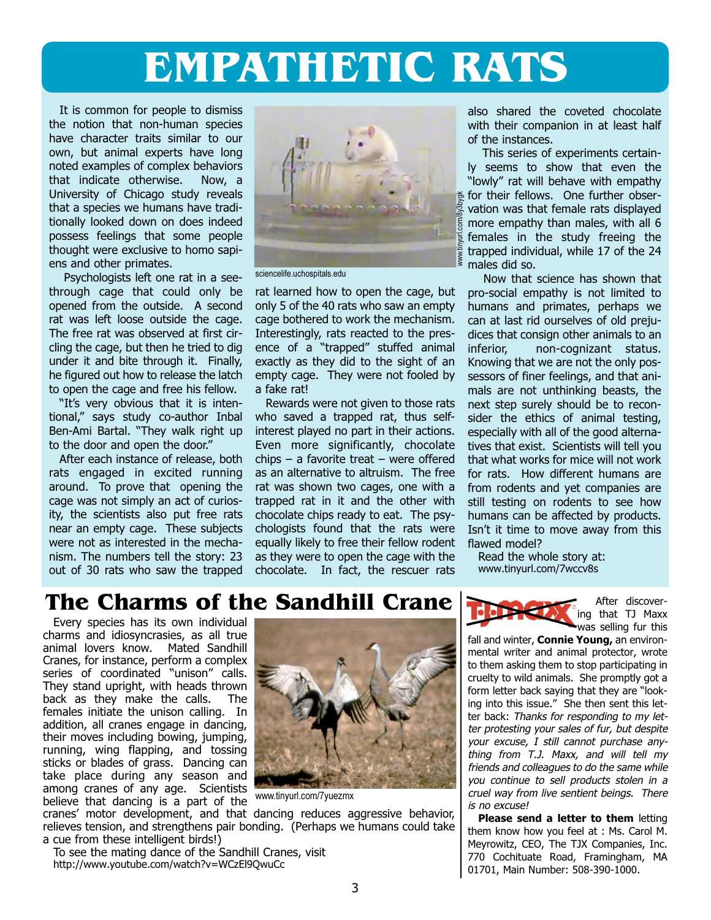# EMPATHETIC RATS

It is common for people to dismiss the notion that non-human species have character traits similar to our own, but animal experts have long noted examples of complex behaviors that indicate otherwise. Now, a University of Chicago study reveals that a species we humans have traditionally looked down on does indeed possess feelings that some people thought were exclusive to homo sapiens and other primates.

Psychologists left one rat in a seethrough cage that could only be opened from the outside. A second rat was left loose outside the cage. The free rat was observed at first circling the cage, but then he tried to dig under it and bite through it. Finally, he figured out how to release the latch to open the cage and free his fellow.

"It's very obvious that it is intentional," says study co-author Inbal Ben-Ami Bartal. "They walk right up to the door and open the door."

After each instance of release, both rats engaged in excited running around. To prove that opening the cage was not simply an act of curiosity, the scientists also put free rats near an empty cage. These subjects were not as interested in the mechanism. The numbers tell the story: 23 out of 30 rats who saw the trapped



sciencelife.uchospitals.edu

rat learned how to open the cage, but only 5 of the 40 rats who saw an empty cage bothered to work the mechanism. Interestingly, rats reacted to the presence of a "trapped" stuffed animal exactly as they did to the sight of an empty cage. They were not fooled by a fake rat!

Rewards were not given to those rats who saved a trapped rat, thus selfinterest played no part in their actions. Even more significantly, chocolate chips – a favorite treat – were offered as an alternative to altruism. The free rat was shown two cages, one with a trapped rat in it and the other with chocolate chips ready to eat. The psychologists found that the rats were equally likely to free their fellow rodent as they were to open the cage with the chocolate. In fact, the rescuer rats also shared the coveted chocolate with their companion in at least half of the instances.

This series of experiments certainly seems to show that even the "lowly" rat will behave with empathy for their fellows. One further observation was that female rats displayed more empathy than males, with all 6 females in the study freeing the trapped individual, while 17 of the 24 males did so.

Now that science has shown that pro-social empathy is not limited to humans and primates, perhaps we can at last rid ourselves of old prejudices that consign other animals to an inferior, non-cognizant status. Knowing that we are not the only possessors of finer feelings, and that animals are not unthinking beasts, the next step surely should be to reconsider the ethics of animal testing, especially with all of the good alternatives that exist. Scientists will tell you that what works for mice will not work for rats. How different humans are from rodents and yet companies are still testing on rodents to see how humans can be affected by products. Isn't it time to move away from this flawed model?

Read the whole story at: www.tinyurl.com/7wccv8s

# The Charms of the Sandhill Crane  $\sum_{n=1}^{\infty}$  After discover-

Every species has its own individual charms and idiosyncrasies, as all true animal lovers know. Mated Sandhill Cranes, for instance, perform a complex series of coordinated "unison" calls. They stand upright, with heads thrown<br>back as they make the calls. The back as they make the calls. females initiate the unison calling. In addition, all cranes engage in dancing, their moves including bowing, jumping, running, wing flapping, and tossing sticks or blades of grass. Dancing can take place during any season and among cranes of any age. Scientists believe that dancing is a part of the



www.tinyurl.com/7yuezmx

cranes' motor development, and that dancing reduces aggressive behavior, relieves tension, and strengthens pair bonding. (Perhaps we humans could take a cue from these intelligent birds!)

To see the mating dance of the Sandhill Cranes, visit http://www.youtube.com/watch?v=WCzEl9QwuCc

was selling fur this fall and winter, **Connie Young**, an environmental writer and animal protector, wrote to them asking them to stop participating in cruelty to wild animals. She promptly got a form letter back saying that they are "looking into this issue." She then sent this letter back: Thanks for responding to my let-

ing that TJ Maxx

ter protesting your sales of fur, but despite your excuse, I still cannot purchase anything from T.J. Maxx, and will tell my friends and colleagues to do the same while you continue to sell products stolen in a cruel way from live sentient beings. There is no excuse!

Please send a letter to them letting them know how you feel at : Ms. Carol M. Meyrowitz, CEO, The TJX Companies, Inc. 770 Cochituate Road, Framingham, MA 01701, Main Number: 508-390-1000.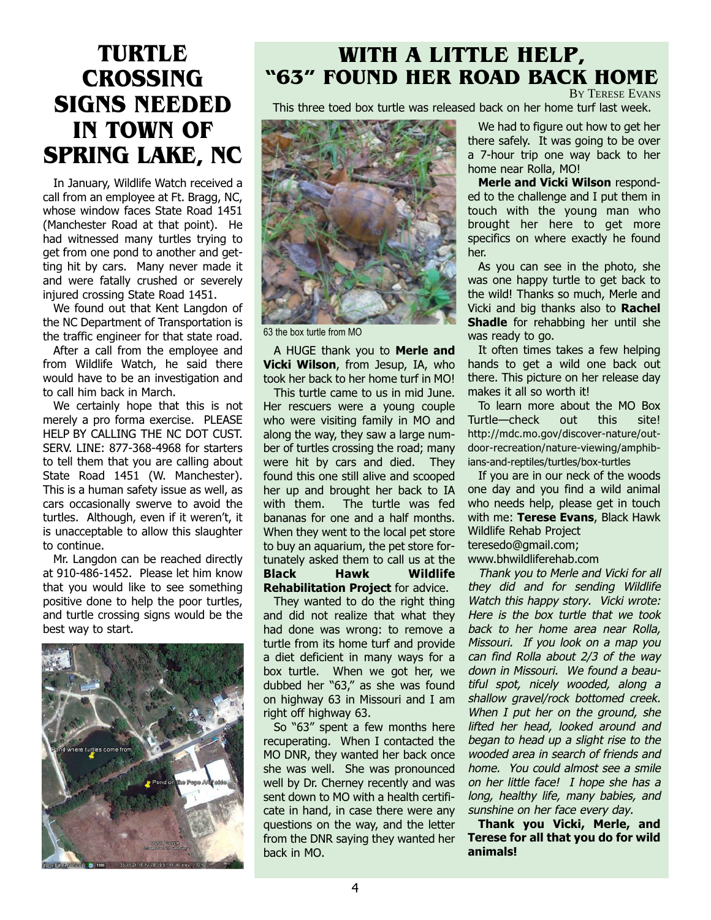# TURTLE **CROSSING** SIGNS NEEDED IN TOWN OF SPRING LAKE, NC

In January, Wildlife Watch received a call from an employee at Ft. Bragg, NC, whose window faces State Road 1451 (Manchester Road at that point). He had witnessed many turtles trying to get from one pond to another and getting hit by cars. Many never made it and were fatally crushed or severely injured crossing State Road 1451.

We found out that Kent Langdon of the NC Department of Transportation is the traffic engineer for that state road.

After a call from the employee and from Wildlife Watch, he said there would have to be an investigation and to call him back in March.

We certainly hope that this is not merely a pro forma exercise. PLEASE HELP BY CALLING THE NC DOT CUST. SERV. LINE: 877-368-4968 for starters to tell them that you are calling about State Road 1451 (W. Manchester). This is a human safety issue as well, as cars occasionally swerve to avoid the turtles. Although, even if it weren't, it is unacceptable to allow this slaughter to continue.

Mr. Langdon can be reached directly at 910-486-1452. Please let him know that you would like to see something positive done to help the poor turtles, and turtle crossing signs would be the best way to start.



### WITH A LITTLE HELP, "63" FOUND HER ROAD BACK HOME BY TERESE EVANS

This three toed box turtle was released back on her home turf last week.



63 the box turtle from MO

A HUGE thank you to Merle and Vicki Wilson, from Jesup, IA, who took her back to her home turf in MO!

This turtle came to us in mid June. Her rescuers were a young couple who were visiting family in MO and along the way, they saw a large number of turtles crossing the road; many were hit by cars and died. They found this one still alive and scooped her up and brought her back to IA with them. The turtle was fed bananas for one and a half months. When they went to the local pet store to buy an aquarium, the pet store fortunately asked them to call us at the Black Hawk Wildlife Rehabilitation Project for advice.

They wanted to do the right thing and did not realize that what they had done was wrong: to remove a turtle from its home turf and provide a diet deficient in many ways for a box turtle. When we got her, we dubbed her "63," as she was found on highway 63 in Missouri and I am right off highway 63.

So "63" spent a few months here recuperating. When I contacted the MO DNR, they wanted her back once she was well. She was pronounced well by Dr. Cherney recently and was sent down to MO with a health certificate in hand, in case there were any questions on the way, and the letter from the DNR saying they wanted her back in MO.

We had to figure out how to get her there safely. It was going to be over a 7-hour trip one way back to her home near Rolla, MO!

Merle and Vicki Wilson responded to the challenge and I put them in touch with the young man who brought her here to get more specifics on where exactly he found her.

As you can see in the photo, she was one happy turtle to get back to the wild! Thanks so much, Merle and Vicki and big thanks also to Rachel Shadle for rehabbing her until she was ready to go.

It often times takes a few helping hands to get a wild one back out there. This picture on her release day makes it all so worth it!

To learn more about the MO Box Turtle—check out this site! http://mdc.mo.gov/discover-nature/out[door-recreation/nature-viewing/amphib](http://mdc.mo.gov/discover-nature/outdoor-recreation/nature-viewing/amphibians-and-reptiles/turtles/box-turtles)ians-and-reptiles/turtles/box-turtles

If you are in our neck of the woods one day and you find a wild animal who needs help, please get in touch with me: Terese Evans, Black Hawk Wildlife Rehab Project teresedo@gmail.com;

www.bhwildliferehab.com

Thank you to Merle and Vicki for all they did and for sending Wildlife Watch this happy story. Vicki wrote: Here is the box turtle that we took back to her home area near Rolla, Missouri. If you look on a map you can find Rolla about 2/3 of the way down in Missouri. We found a beautiful spot, nicely wooded, along a shallow gravel/rock bottomed creek. When I put her on the ground, she lifted her head, looked around and began to head up a slight rise to the wooded area in search of friends and home. You could almost see a smile on her little face! I hope she has a long, healthy life, many babies, and sunshine on her face every day.

Thank you Vicki, Merle, and Terese for all that you do for wild animals!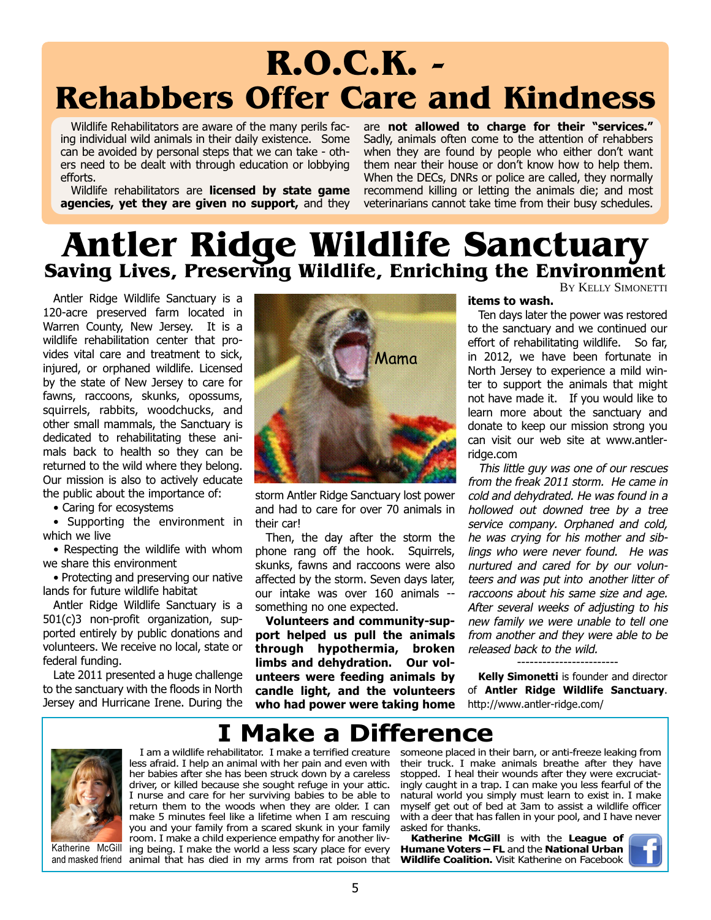# R.O.C.K. - Rehabbers Offer Care and Kindness

Wildlife Rehabilitators are aware of the many perils facing individual wild animals in their daily existence. Some can be avoided by personal steps that we can take - others need to be dealt with through education or lobbying efforts.

Wildlife rehabilitators are **licensed by state game** agencies, yet they are given no support, and they are not allowed to charge for their "services." Sadly, animals often come to the attention of rehabbers when they are found by people who either don't want them near their house or don't know how to help them. When the DECs, DNRs or police are called, they normally recommend killing or letting the animals die; and most veterinarians cannot take time from their busy schedules.

# Antler Ridge Wildlife Sanctuary Saving Lives, Preserving Wildlife, Enriching the Environment BY KELLY SIMONETTI

Antler Ridge Wildlife Sanctuary is a 120-acre preserved farm located in Warren County, New Jersey. It is a wildlife rehabilitation center that provides vital care and treatment to sick, injured, or orphaned wildlife. Licensed by the state of New Jersey to care for fawns, raccoons, skunks, opossums, squirrels, rabbits, woodchucks, and other small mammals, the Sanctuary is dedicated to rehabilitating these animals back to health so they can be returned to the wild where they belong. Our mission is also to actively educate the public about the importance of:

• Caring for ecosystems

• Supporting the environment in which we live

• Respecting the wildlife with whom we share this environment

• Protecting and preserving our native lands for future wildlife habitat

Antler Ridge Wildlife Sanctuary is a 501(c)3 non-profit organization, supported entirely by public donations and volunteers. We receive no local, state or federal funding.

Late 2011 presented a huge challenge to the sanctuary with the floods in North Jersey and Hurricane Irene. During the



storm Antler Ridge Sanctuary lost power and had to care for over 70 animals in their car!

Then, the day after the storm the phone rang off the hook. Squirrels, skunks, fawns and raccoons were also affected by the storm. Seven days later, our intake was over 160 animals - something no one expected.

Volunteers and community-support helped us pull the animals through hypothermia, broken limbs and dehydration. Our volunteers were feeding animals by candle light, and the volunteers who had power were taking home

items to wash.

Ten days later the power was restored to the sanctuary and we continued our effort of rehabilitating wildlife. So far, in 2012, we have been fortunate in North Jersey to experience a mild winter to support the animals that might not have made it. If you would like to learn more about the sanctuary and donate to keep our mission strong you can visit our web site at www.antlerridge.com

This little guy was one of our rescues from the freak 2011 storm. He came in cold and dehydrated. He was found in a hollowed out downed tree by a tree service company. Orphaned and cold, he was crying for his mother and siblings who were never found. He was nurtured and cared for by our volunteers and was put into another litter of raccoons about his same size and age. After several weeks of adjusting to his new family we were unable to tell one from another and they were able to be released back to the wild.

Kelly Simonetti is founder and director of Antler Ridge Wildlife Sanctuary. http://www.antler-ridge.com/



Katherine McGill

# I Make a Difference

I am a wildlife rehabilitator. I make a terrified creature less afraid. I help an animal with her pain and even with her babies after she has been struck down by a careless driver, or killed because she sought refuge in your attic. I nurse and care for her surviving babies to be able to return them to the woods when they are older. I can make 5 minutes feel like a lifetime when I am rescuing you and your family from a scared skunk in your family room. I make a child experience empathy for another living being. I make the world a less scary place for every and masked friend animal that has died in my arms from rat poison that

someone placed in their barn, or anti-freeze leaking from their truck. I make animals breathe after they have stopped. I heal their wounds after they were excruciatingly caught in a trap. I can make you less fearful of the natural world you simply must learn to exist in. I make myself get out of bed at 3am to assist a wildlife officer with a deer that has fallen in your pool, and I have never asked for thanks.

Katherine McGill is with the League of Humane Voters - FL and the National Urban Wildlife Coalition. Visit Katherine on Facebook

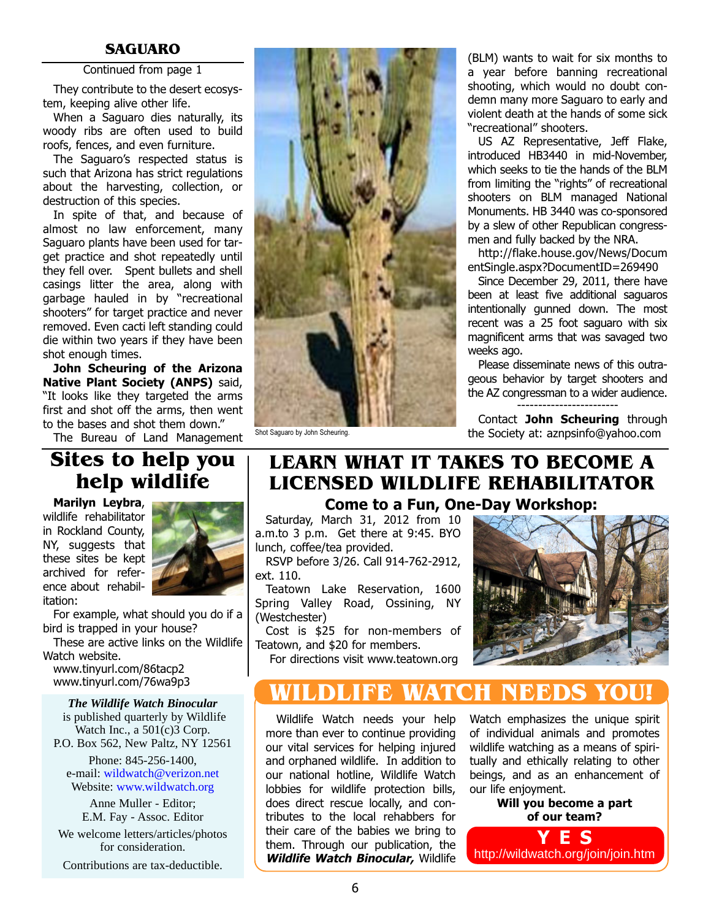#### Continued from page 1

They contribute to the desert ecosystem, keeping alive other life.

When a Saguaro dies naturally, its woody ribs are often used to build roofs, fences, and even furniture.

The Saguaro's respected status is such that Arizona has strict regulations about the harvesting, collection, or destruction of this species.

In spite of that, and because of almost no law enforcement, many Saguaro plants have been used for target practice and shot repeatedly until they fell over. Spent bullets and shell casings litter the area, along with garbage hauled in by "recreational shooters" for target practice and never removed. Even cacti left standing could die within two years if they have been shot enough times.

John Scheuring of the Arizona Native Plant Society (ANPS) said, "It looks like they targeted the arms first and shot off the arms, then went to the bases and shot them down."

The Bureau of Land Management

## Sites to help you help wildlife

Marilyn Leybra, wildlife rehabilitator in Rockland County, NY, suggests that these sites be kept archived for reference about rehabilitation:



For example, what should you do if a bird is trapped in your house?

These are active links on the Wildlife Watch website.

www.tinyurl.com/86tacp2 www.tinyurl.com/76wa9p3

#### *The Wildlife Watch Binocular*

is published quarterly by Wildlife Watch Inc., a 501(c)3 Corp. P.O. Box 562, New Paltz, NY 12561

Phone: 845-256-1400, e-mail: wildwatch@verizon.net Website: www.wildwatch.org

Anne Muller - Editor; E.M. Fay - Assoc. Editor

We welcome letters/articles/photos for consideration.

Contributions are tax-deductible.



a year before banning recreational shooting, which would no doubt condemn many more Saguaro to early and violent death at the hands of some sick "recreational" shooters.

US AZ Representative, Jeff Flake, introduced HB3440 in mid-November, which seeks to tie the hands of the BLM from limiting the "rights" of recreational shooters on BLM managed National Monuments. HB 3440 was co-sponsored by a slew of other Republican congressmen and fully backed by the NRA.

http://flake.house.gov/News/Docum [entSingle.aspx?DocumentID=269490](http://flake.house.gov/News/DocumentSingle.aspx?DocumentID=269490)

Since December 29, 2011, there have been at least five additional saguaros intentionally gunned down. The most recent was a 25 foot saguaro with six magnificent arms that was savaged two weeks ago.

Please disseminate news of this outrageous behavior by target shooters and the AZ congressman to a wider audience. ------------------------

Contact John Scheuring through Shot Saguaro by John Scheuring. The Society at: aznpsinfo@yahoo.com

## Come to a Fun, One-Day Workshop: LEARN WHAT IT TAKES TO BECOME A LICENSED WILDLIFE REHABILITATOR

Saturday, March 31, 2012 from 10 a.m.to 3 p.m. Get there at 9:45. BYO lunch, coffee/tea provided.

RSVP before 3/26. Call 914-762-2912, ext. 110.

Teatown Lake Reservation, 1600 Spring Valley Road, Ossining, NY (Westchester)

Cost is \$25 for non-members of Teatown, and \$20 for members.

For directions visit www.teatown.org



# WATCH NEEDS YOU!

Wildlife Watch needs your help more than ever to continue providing our vital services for helping injured and orphaned wildlife. In addition to our national hotline, Wildlife Watch lobbies for wildlife protection bills, does direct rescue locally, and contributes to the local rehabbers for their care of the babies we bring to them. Through our publication, the Wildlife Watch Binocular, Wildlife Watch emphasizes the unique spirit of individual animals and promotes wildlife watching as a means of spiritually and ethically relating to other beings, and as an enhancement of our life enjoyment.

> Will you become a part of our team?

YES <http://wildwatch.org/join/join.htm>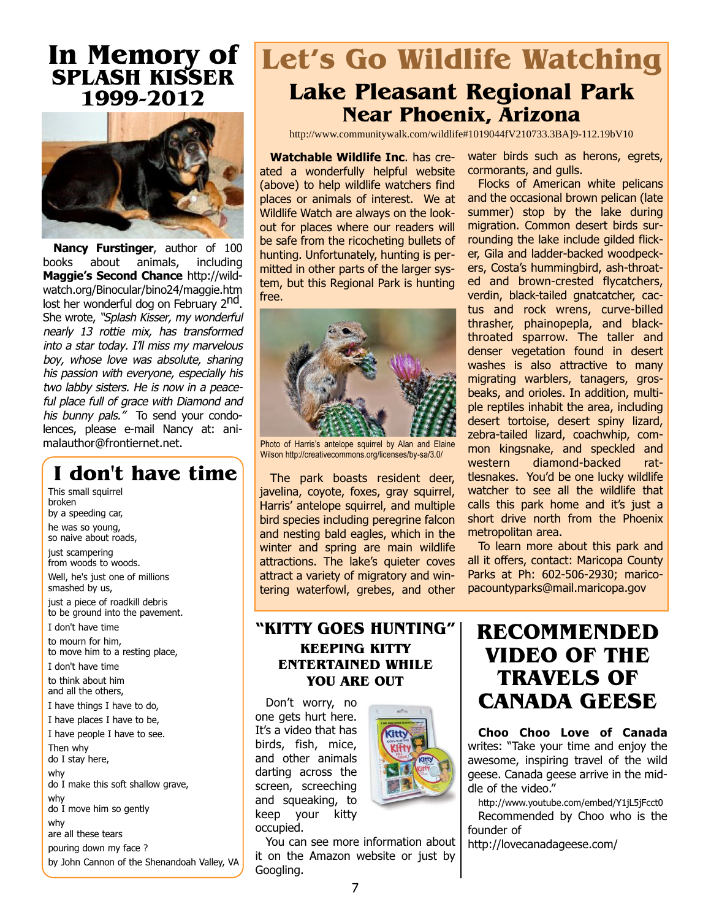# In Memory of SPLASH KISSER 1999-2012



Nancy Furstinger, author of 100 [books about animals, including](http://wildwatch.org/Binocular/bino24/maggie.htm) Maggie's Second Chance http://wildwatch.org/Binocular/bino24/maggie.htm lost her wonderful dog on February 2<sup>nd</sup>. She wrote, "Splash Kisser, my wonderful nearly 13 rottie mix, has transformed into a star today. I'll miss my marvelous boy, whose love was absolute, sharing his passion with everyone, especially his two labby sisters. He is now in a peaceful place full of grace with Diamond and his bunny pals." To send your condolences, please e-mail Nancy at: animalauthor@frontiernet.net.

# I don't have time

This small squirrel broken by a speeding car, he was so young, so naive about roads, just scampering from woods to woods. Well, he's just one of millions smashed by us, just a piece of roadkill debris to be ground into the pavement. I don't have time to mourn for him, to move him to a resting place, I don't have time to think about him and all the others, I have things I have to do, I have places I have to be, I have people I have to see. Then why do I stay here, why do I make this soft shallow grave, why do I move him so gently why are all these tears pouring down my face ? by John Cannon of the Shenandoah Valley, VA

# Let's Go Wildlife Watching Lake Pleasant Regional Park Near Phoenix, Arizona

http://www.communitywalk.com/wildlife#1019044fV210733.3BA]9-112.19bV10

Watchable Wildlife Inc. has created a wonderfully helpful website (above) to help wildlife watchers find places or animals of interest. We at Wildlife Watch are always on the lookout for places where our readers will be safe from the ricocheting bullets of hunting. Unfortunately, hunting is permitted in other parts of the larger system, but this Regional Park is hunting free.



Photo of Harris's antelope squirrel by Alan and Elaine Wilson http://creativecommons.org/licenses/by-sa/3.0/

The park boasts resident deer, javelina, coyote, foxes, gray squirrel, Harris' antelope squirrel, and multiple bird species including peregrine falcon and nesting bald eagles, which in the winter and spring are main wildlife attractions. The lake's quieter coves attract a variety of migratory and wintering waterfowl, grebes, and other

water birds such as herons, egrets, cormorants, and gulls.

Flocks of American white pelicans and the occasional brown pelican (late summer) stop by the lake during migration. Common desert birds surrounding the lake include gilded flicker, Gila and ladder-backed woodpeckers, Costa's hummingbird, ash-throated and brown-crested flycatchers, verdin, black-tailed gnatcatcher, cactus and rock wrens, curve-billed thrasher, phainopepla, and blackthroated sparrow. The taller and denser vegetation found in desert washes is also attractive to many migrating warblers, tanagers, grosbeaks, and orioles. In addition, multiple reptiles inhabit the area, including desert tortoise, desert spiny lizard, zebra-tailed lizard, coachwhip, common kingsnake, and speckled and western diamond-backed rattlesnakes. You'd be one lucky wildlife watcher to see all the wildlife that calls this park home and it's just a short drive north from the Phoenix metropolitan area.

To learn more about this park and all it offers, contact: Maricopa County Parks at Ph: 602-506-2930; maricopacountyparks@mail.maricopa.gov

### "KITTY GOES HUNTING" KEEPING KITTY ENTERTAINED WHILE YOU ARE OUT

Don't worry, no one gets hurt here. It's a video that has birds, fish, mice, and other animals darting across the screen, screeching and squeaking, to keep your kitty occupied.



#### You can see more information about it on the Amazon website or just by Googling.

# RECOMMENDED VIDEO OF THE TRAVELS OF CANADA GEESE

Choo Choo Love of Canada writes: "Take your time and enjoy the awesome, inspiring travel of the wild geese. Canada geese arrive in the middle of the video."

http://www.youtube.com/embed/Y1jL5jFcct0 Recommended by Choo who is the founder of

http://lovecanadageese.com/